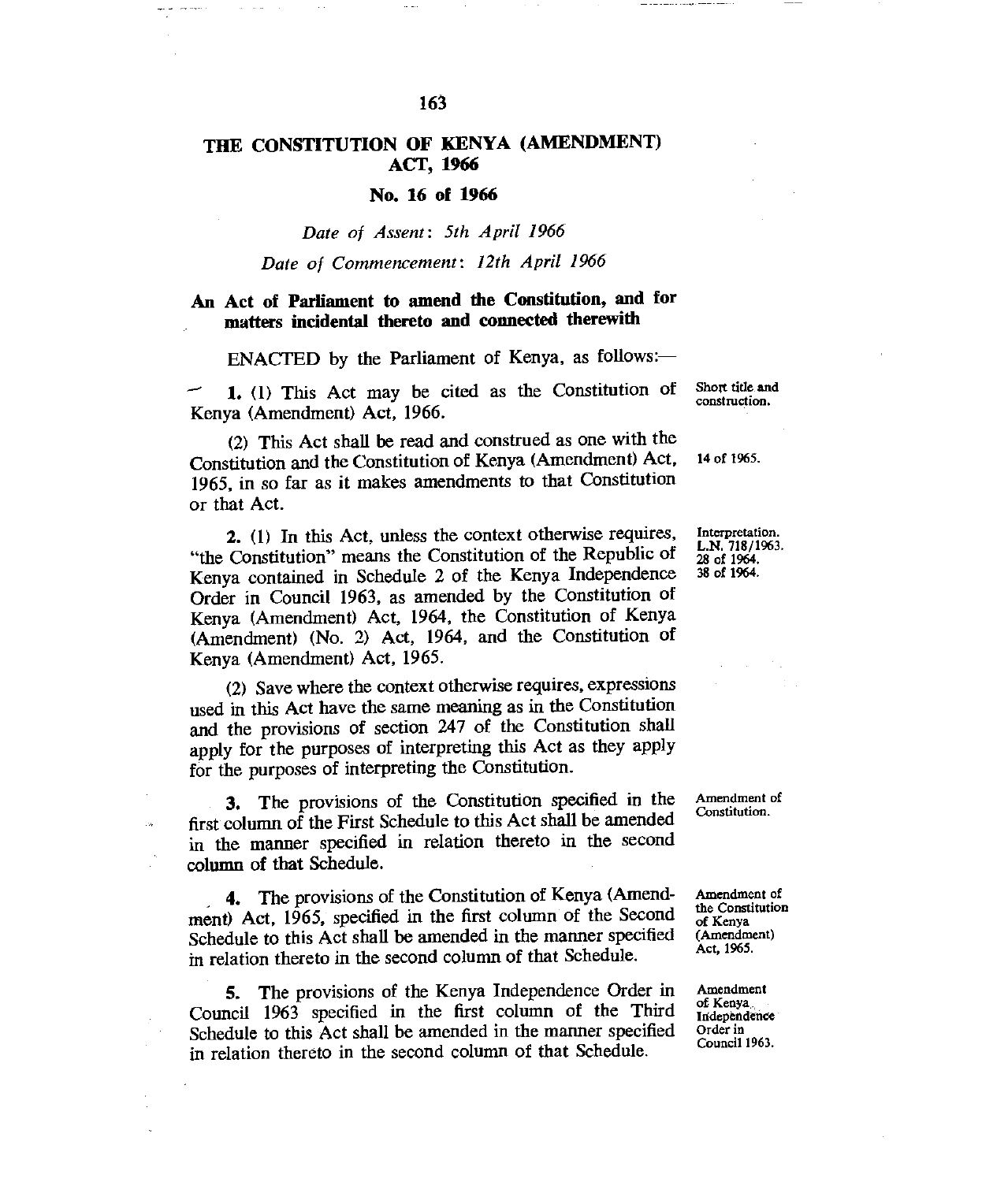# **THE CONSTITUTION OF KENYA (AMENDMENT) ACT, 1966**

## **No. 16 of 1966**

## *Date of Assent: 5th April 1966*

## *Date of Commencement: 12th April 1966*

## **An Act of Parliament to amend the Constitution, and for matters incidental thereto and connected therewith**

ENACTED by the Parliament of Kenya, as follows:-

**1. (1)** This Act may be cited as the Constitution of Kenya (Amendment) Act, 1966.

(2) This Act shall be read and construed as one with the Constitution and the Constitution of Kenya (Amendment) Act, 1965, in so far as it makes amendments to that Constitution or that Act.

**2. (1)** In this Act, unless the context otherwise requires, "the Constitution" means the Constitution of the Republic of Kenya contained in Schedule 2 of the Kenya Independence Order in Council 1963, as amended by the Constitution of Kenya (Amendment) Act, 1964, the Constitution of Kenya (Amendment) (No. 2) Act, 1964, and the Constitution of Kenya (Amendment) Act, 1965.

(2) Save where the context otherwise requires, expressions used in this Act have the same meaning as in the Constitution and the provisions of section 247 of the Constitution shall apply for the purposes of interpreting this Act as they apply for the purposes of interpreting the Constitution.

3. The provisions of the Constitution specified in the first column of the First Schedule to this Act shall be amended in the manner specified in relation thereto in the second **column of that Schedule.** 

4. The provisions of the Constitution of Kenya (Amendment) Act, 1965, specified in the first column of the Second Schedule to this Act shall be amended in the manner specified in relation thereto in the second column of that Schedule.

5. The provisions of the Kenya Independence Order in Council 1963 specified in the first column of the Third Schedule to this Act shall be amended in the manner specified in relation thereto in the second column of that Schedule.

Short title and construction.

14 of 1965.

Interpretation. L.N. 718/1963. 28 of 1964. 38 of 1964.

Amendment of Constitution.

Amendment of the Constitution of Kenya (Amendment) Act, 1965.

Amendment of Kenya Independence Order in Council 1963.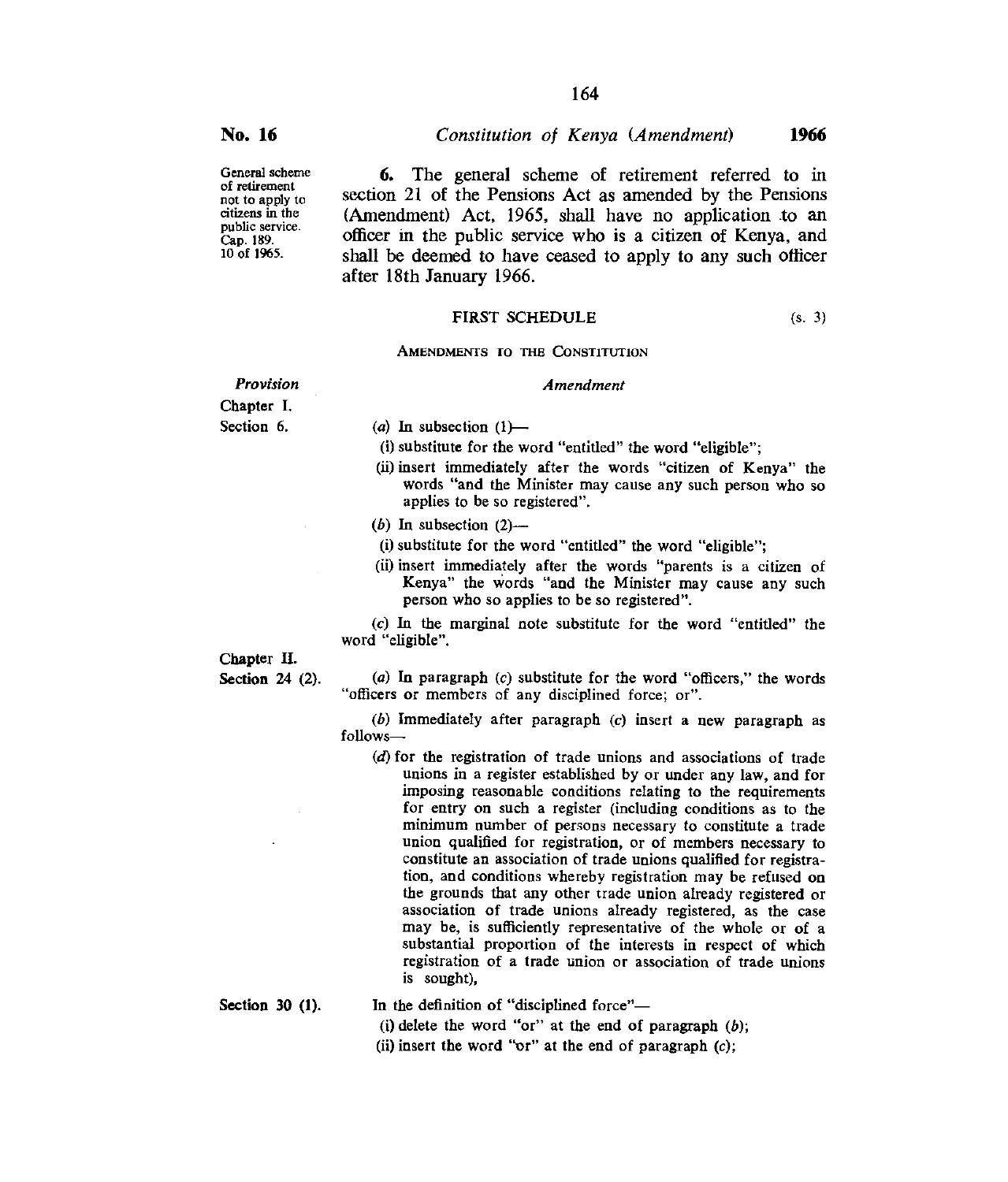**No. 16** *Constitution of Kenya (Amendment)* **1966** 

General scheme of retirement not to apply to citizens in the public service. Cap. 189. 10 of 1965.

**6.** The general scheme of retirement referred to in section 21 of the Pensions Act as amended by the Pensions (Amendment) Act, 1965, shall have no application to an officer in the public service who is a citizen of Kenya, and shall be deemed to have ceased to apply to any such officer after 18th January 1966.

*Amendment* 

#### FIRST SCHEDULE (s. 3)

AMENDMENTS TO THE CONSTITUTION

*Provision* 

Chapter I. Section 6.

(a) In subsection  $(1)$ —

(i) substitute for the word "entitled" the word "eligible";

(ii) insert immediately after the words "citizen of Kenya" the words "and the Minister may cause any such person who so applies to be so registered".

 $(b)$  In subsection  $(2)$ --

(i)substitute for the word "entitled" the word "eligible";

(ii) insert immediately after the words "parents is a citizen of Kenya" the words "and the Minister may cause any such person who so applies to be so registered".

*(c)* In the marginal note substitute for the word "entitled" the word "eligible".

#### Chapter H.

Section 24 (2).

(a) In paragraph *(c)* substitute for the word "officers," the words "officers or members of any disciplined force; or".

*(b) Immediately* after paragraph *(c)* insert a new paragraph as follows—

*(d)* for the registration of trade unions and associations of trade unions in a register established by or under any law, and for imposing reasonable conditions relating to the requirements for entry on such a register (including conditions as to the minimum number of persons necessary to constitute a trade union qualified for registration, or of members necessary to constitute an association of trade unions qualified for registration, and conditions whereby registration may be refused on the grounds that any other trade union already registered or association of trade unions already registered, as the case may be, is sufficiently representative of the whole or of a substantial proportion of the interests in respect of which registration of a trade union or association of trade unions is sought),

Section 30 (1).

In the definition of "disciplined force"—

(i) delete the word "or" at the end of paragraph (b);

(ii) insert the word "or" at the end of paragraph (c);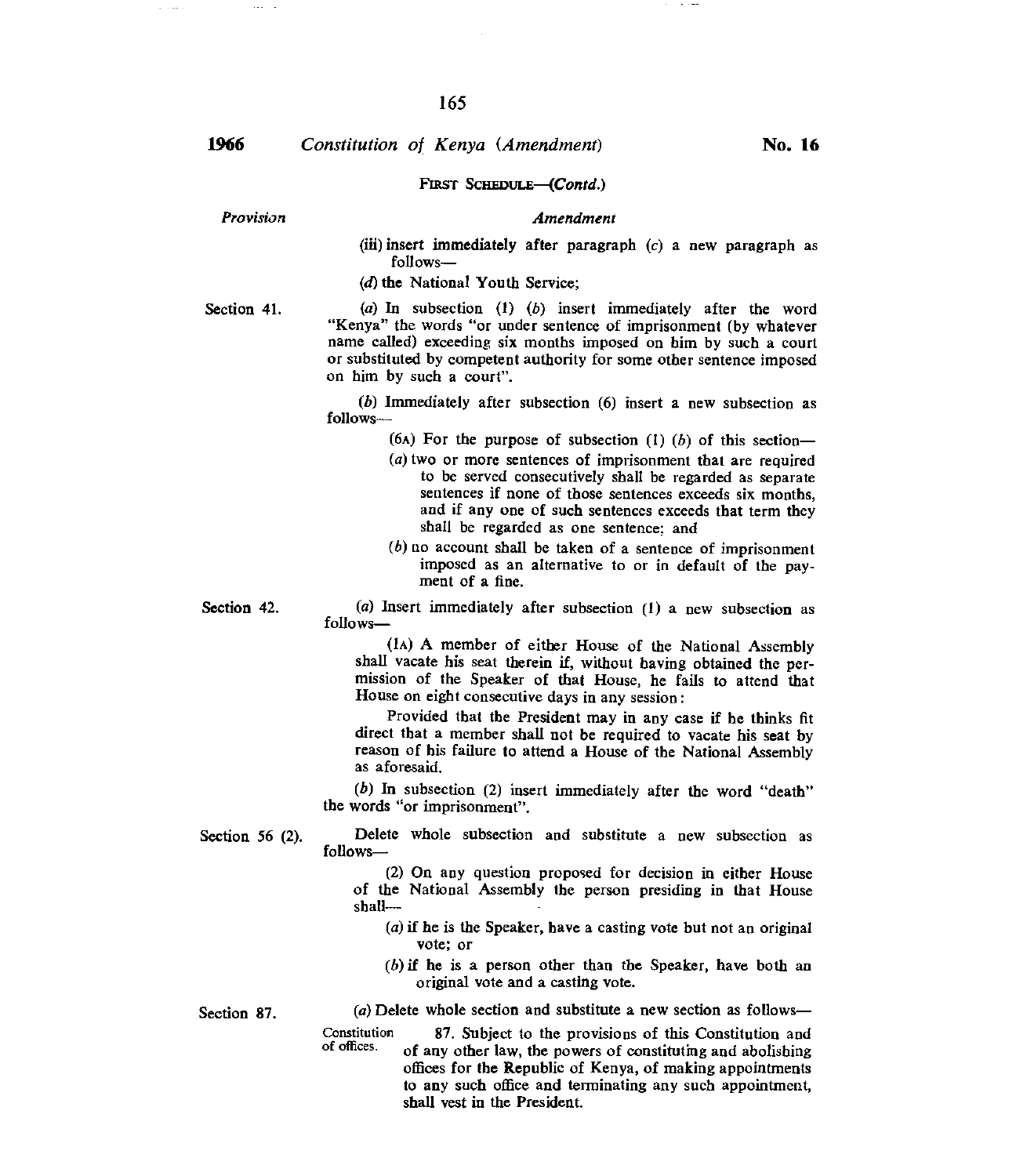## **1966** *Constitution of Kenya (Amendment)* **No. 16**

#### FIRST SCHEDULE-(Contd.)

*Provision Amendment* 

(iii) insert immediately after paragraph *(c)* a *new* paragraph as follows—

(d) the National Youth Service;

Section 41. (a) In subsection (1) (b) insert immediately after the word "Kenya" the words "or under sentence of imprisonment (by whatever name called) exceeding six months imposed on him by such a court or substituted by competent authority for some other sentence imposed on him by such a court".

> *(b)* Immediately after subsection (6) insert a new subsection as follows—

> > (6A) For the purpose of subsection *(I) (b)* of this section—

- (a)two or more sentences of imprisonment that are required to be served consecutively shall be regarded as separate sentences if none of those sentences exceeds six months, and if any one of such sentences exceeds that term they shall be regarded as one sentence; and
- $(b)$  no account shall be taken of a sentence of imprisonment imposed as an alternative to or in default of *the* payment of a fine.

Section 42. (a) Insert immediately after subsection (1) a new subsection as follows—

> (IA) A member of either House of the National Assembly shall vacate his seat therein if, without having obtained the permission of the Speaker of that House, he fails to attend that House on eight consecutive days in any session :

> Provided that the President may in any case if he thinks fit direct that a member shall not be required to vacate his seat by reason of his failure to attend a House of the National Assembly as aforesaid.

*(b)* In subsection (2) insert immediately after the word "death" the words "or imprisonment".

Section 56 (2).

Delete whole subsection and substitute a new subsection as follows—

> (2) On any question proposed for decision in either House of the National Assembly the person presiding in that House shall—

- $(a)$  if he is the Speaker, have a casting vote but not an original vote; or
- $(b)$  if he is a person other than the Speaker, have both an original vote and a casting vote.

Section 87.

- (a) Delete whole section and substitute a new section as follows—
- Constitution of offices. 87. Subject to the provisions of this Constitution and of any other law, the powers of constituting and abolishing offices for the Republic of Kenya, of making appointments to any such office and terminating any such appointment, shall vest in the President.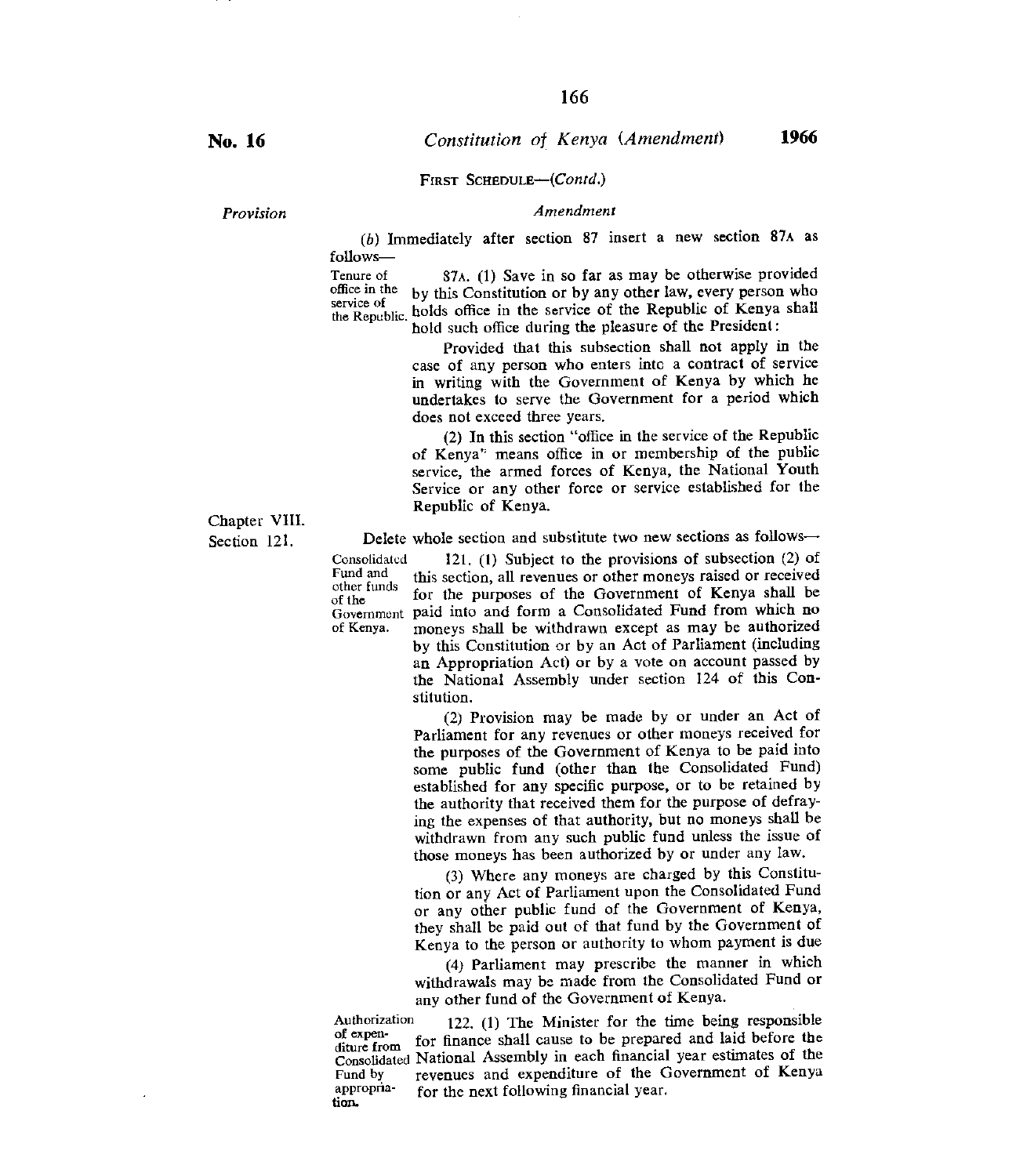#### FIRST SCHEDULE-(Contd.)

*Provision Amendment* 

*(b)* Immediately after section 87 insert a new section 87x as follows—

Tenure of 87A. (1) Save in so far as may be otherwise provided<br>office in the by this Constitution or by any other law, every person who office in the by this Constitution or by any other law, every person who service of  $\mathbf{v}_1$ ,  $\mathbf{v}_2$  is the position of the Population of Kenyo shall. service of the Republic. holds office in the service of the Republic of Kenya shall hold such office during the pleasure of the President:

> Provided that this subsection shall not apply in the case of any person who enters intc a contract of service in writing with the Government of Kenya by which he undertakes to serve the Government for a period which does not exceed three years.

> (2) In this section "office in the service of the Republic of Kenya' means office in or membership of the public service, the armed forces of Kenya, the National Youth Service or any other force or service established for the Republic of Kenya.

Delete whole section and substitute two new sections as follows—

Consolidated 121. (1) Subject to the provisions of subsection (2) of Fund and this section all revenues or other moneys raised or received Fund and this section, all revenues or other moneys raised or received other funds of the funds for the purposes of the Government of Kenya shall be Government paid into and form a Consolidated Fund from which no<br>of Kenya. moneys shall be withdrawn except as may be authorized moneys shall be withdrawn except as may be authorized by this Constitution or by an Act of Parliament (including an Appropriation Act) or by a vote on account passed by the National Assembly under section 124 of this Constitution.

> (2) Provision may be made by or under an Act of Parliament for any revenues or other moneys received for the purposes of the Government of Kenya to be paid into some public fund (other than the Consolidated Fund) established for any specific purpose, or to be retained by the authority that received them for the purpose of defraying the expenses of that authority, but no moneys shall be withdrawn from any such public fund unless the issue of those moneys has been authorized by or under any law.

> (3) Where any moneys are charged by this Constitution or any Act of Parliament upon the Consolidated Fund or any other public fund of the Government of Kenya, they shall be paid out of that fund by the Government of Kenya to the person or authority to whom payment is due

> (4) Parliament may prescribe the manner in which withdrawals may be made from the Consolidated Fund or any other fund of the Government of Kenya.

Authorization 122. (1) The Minister for the time being responsible<br>of expension  $\epsilon$  is forecasted linear the permutation of laid before the of expen-<br>diture from for finance shall cause to be prepared and laid before the Consolidated National Assembly in each financial year estimates of the Fund by<br>Fund by revenues and expenditure of the Government of Kenya Fund by revenues and expenditure of the Government of Kenya appropria-<br>for the next following financial year. appropria-<br>tion.

Chapter VIII. Section 121.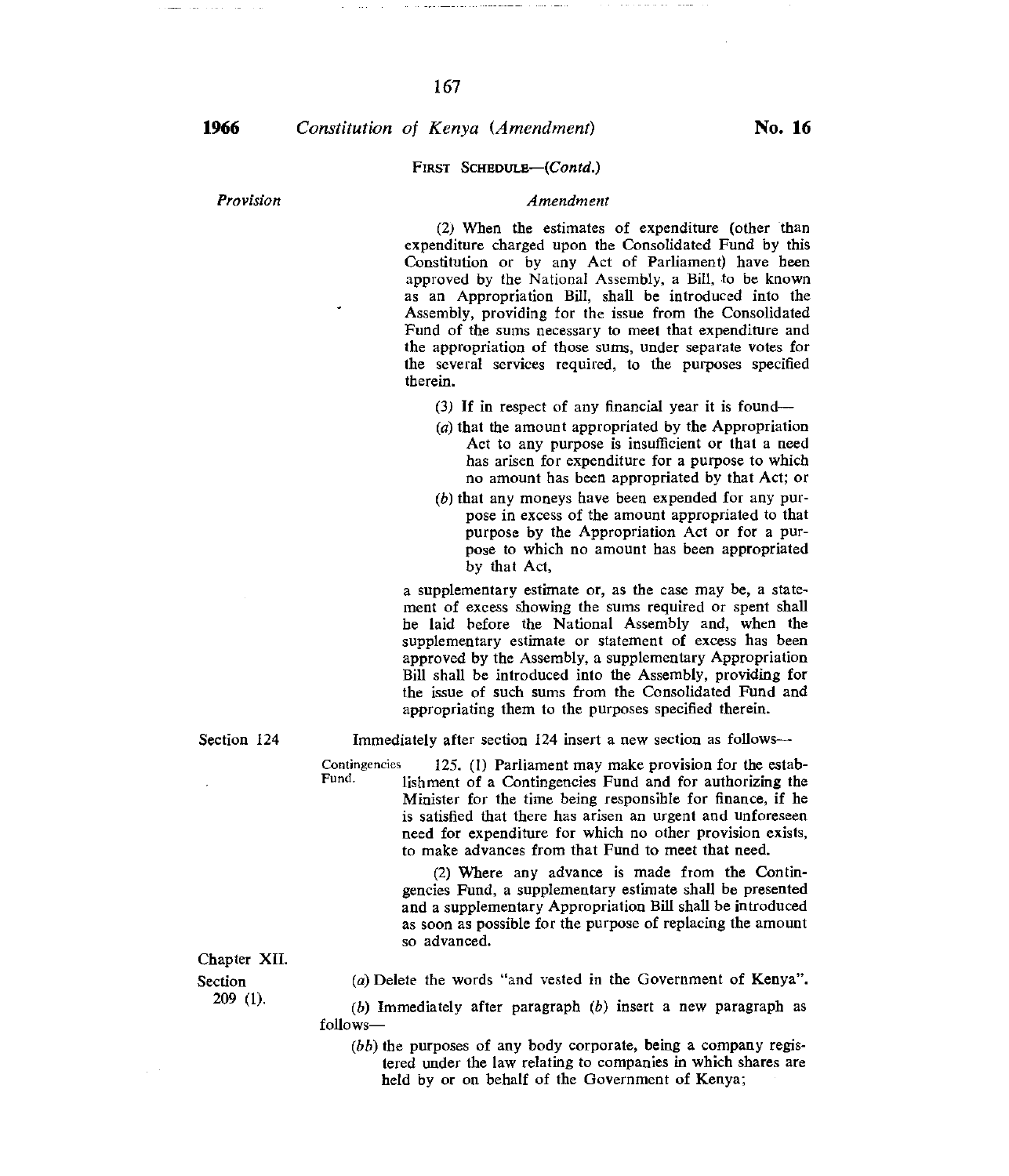167

#### FIRST SCHEDULE—(COntd.)

### *Provision Amendment*

(2) When the estimates of expenditure (other than expenditure charged upon the Consolidated Fund by this Constitution or by any Act of Parliament) have been approved by the National Assembly, a Bill, to be known as an Appropriation Bill, shall be introduced into the Assembly, providing for the issue from the Consolidated Fund of the sums necessary to meet that expenditure and the appropriation of those sums, under separate votes for the several services required, to the purposes specified therein.

- (3) If in respect of any financial year it is found—
- $(a)$  that the amount appropriated by the Appropriation Act to any purpose is insufficient or that a need has arisen for expenditure for a purpose to which no amount has been appropriated by that Act; or
- $(b)$  that any moneys have been expended for any purpose in excess of the amount appropriated to that purpose by the Appropriation Act or for a purpose to which no amount has been appropriated by that Act,

a supplementary estimate or, as the case may be, a statement of excess showing the sums required or spent shall be laid before the National Assembly and, when the supplementary estimate or statement of excess has been approved by the Assembly, a supplementary Appropriation Bill shall be introduced into the Assembly, providing for the issue of such sums from the Consolidated Fund and appropriating them to the purposes specified therein.

Section 124 Immediately after section 124 insert a new section as follows—

Contingencies 125. (1) Parliament may make provision for the estab-<br>Fund. Unknown of a Contingencies Fund and for authorizing the lishment of a Contingencies Fund and for authorizing the Minister for the time being responsible for finance, if he is satisfied that there has arisen an urgent and unforeseen need for expenditure for which no other provision exists, to make advances from that Fund to meet that need.

> (2) Where any advance is made from the Contingencies Fund, a supplementary estimate shall be presented and a supplementary Appropriation Bill shall be introduced as soon as possible for the purpose of replacing the amount so advanced.

Chapter XII.

Section 209 (1). (a) Delete the words "and vested in the Government of Kenya".

(b) Immediately after paragraph *(b)* insert a new paragraph as follows—

*(bb)* the purposes of any body corporate, being a company registered under the law relating to companies in which shares are held by or on behalf of the Government of Kenya;